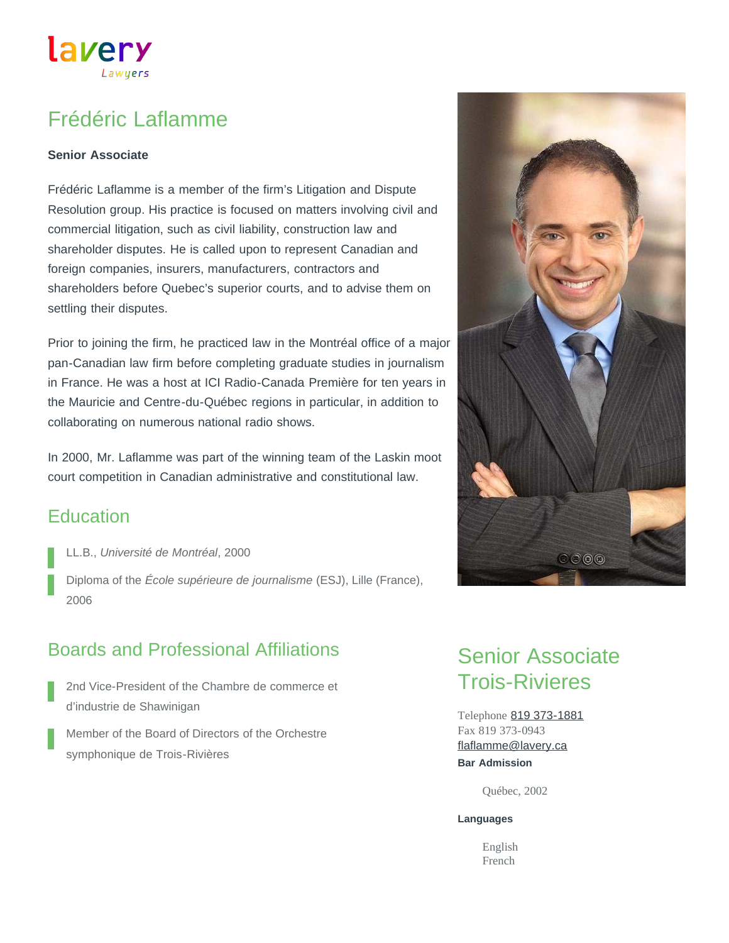## Frédéric Laflamme

Lawyers

#### **Senior Associate**

lavery

Frédéric Laflamme is a member of the firm's Litigation and Dispute Resolution group. His practice is focused on matters involving civil and commercial litigation, such as civil liability, construction law and shareholder disputes. He is called upon to represent Canadian and foreign companies, insurers, manufacturers, contractors and shareholders before Quebec's superior courts, and to advise them on settling their disputes.

Prior to joining the firm, he practiced law in the Montréal office of a major pan-Canadian law firm before completing graduate studies in journalism in France. He was a host at ICI Radio-Canada Première for ten years in the Mauricie and Centre-du-Québec regions in particular, in addition to collaborating on numerous national radio shows.

In 2000, Mr. Laflamme was part of the winning team of the Laskin moot court competition in Canadian administrative and constitutional law.

## **Education**

- LL.B., *Université de Montréal*, 2000
- Diploma of the *École supérieure de journalisme* (ESJ), Lille (France), 2006

## Boards and Professional Affiliations

- 2nd Vice-President of the Chambre de commerce et d'industrie de Shawinigan
- Member of the Board of Directors of the Orchestre symphonique de Trois-Rivières

# Senior Associate Trois-Rivieres

Telephone [819 373-1881](tel:819-373-1881) Fax 819 373-0943 **Bar Admission** [flaflamme@lavery.ca](mailto:flaflamme@lavery.ca)

Québec, 2002

#### **Languages**

English French